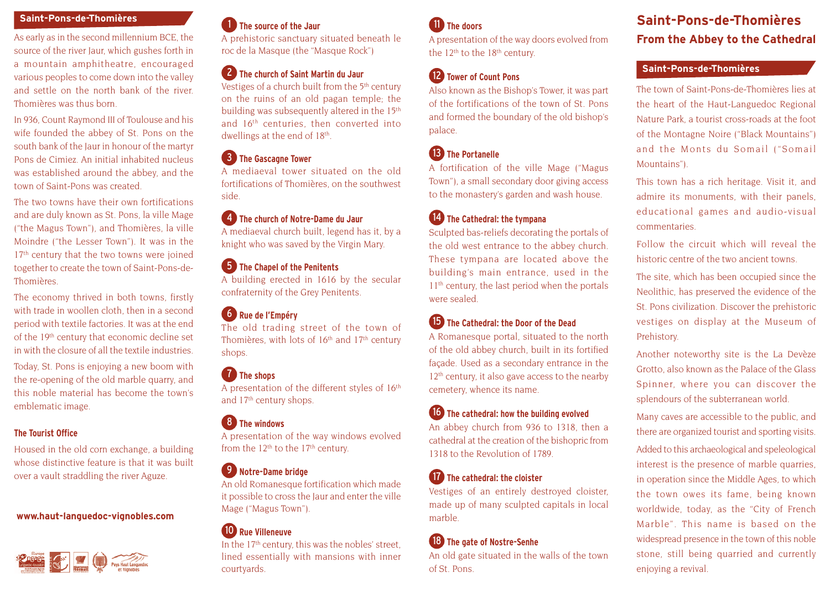#### **Saint-Pons-de-Thomières**

As early as in the second millennium BCE, the source of the river Jaur, which gushes forth in a mountain amphitheatre, encouraged various peoples to come down into the valley and settle on the north bank of the river. Thomières was thus born.

In 936, Count Raymond III of Toulouse and his wife founded the abbey of St. Pons on the south bank of the Jaur in honour of the martyr Pons de Cimiez. An initial inhabited nucleus was established around the abbey, and the town of Saint-Pons was created.

The two towns have their own fortifications and are duly known as St. Pons, la ville Mage ("the Magus Town"), and Thomières, la ville Moindre ("the Lesser Town"). It was in the 17<sup>th</sup> century that the two towns were joined together to create the town of Saint-Pons-de-Thomières.

The economy thrived in both towns, firstly with trade in woollen cloth, then in a second period with textile factories. It was at the end of the 19th century that economic decline set in with the closure of all the textile industries.

Today, St. Pons is enjoying a new boom with the re-opening of the old marble quarry, and this noble material has become the town's emblematic image.

#### **The Tourist Office**

Housed in the old corn exchange, a building whose distinctive feature is that it was built over a vault straddling the river Aguze.

#### **www.haut-languedoc-vignobles.com**



### **The source of the Jaur** 1

A prehistoric sanctuary situated beneath le roc de la Masque (the "Masque Rock")

#### **The church of Saint Martin du Jaur** 2

Vestiges of a church built from the 5th century on the ruins of an old pagan temple; the building was subsequently altered in the 15<sup>th</sup> and 16th centuries, then converted into dwellings at the end of 18<sup>th</sup>.

### **The Gascagne Tower** 3

A mediaeval tower situated on the old fortifications of Thomières, on the southwest side.

#### **The church of Notre-Dame du Jaur** 4

A mediaeval church built, legend has it, by a knight who was saved by the Virgin Mary.

### **The Chapel of the Penitents** 5

A building erected in 1616 by the secular confraternity of the Grey Penitents.

## **Rue de l'Empéry** 6

The old trading street of the town of Thomières, with lots of 16<sup>th</sup> and 17<sup>th</sup> century shops.

# **T** The shops

A presentation of the different styles of  $16<sup>th</sup>$ and 17th century shops.

### **The windows** 8

A presentation of the way windows evolved from the 12<sup>th</sup> to the 17<sup>th</sup> century.

### **Notre-Dame bridge** 9

An old Romanesque fortification which made it possible to cross the Jaur and enter the ville Mage ("Magus Town").

### 10 Rue Villeneuve

In the 17th century, this was the nobles' street, lined essentially with mansions with inner courtyards.

# **The doors**

A presentation of the way doors evolved from the 12th to the 18th century.

## **Tower of Count Pons** 12

Also known as the Bishop's Tower, it was part of the fortifications of the town of St. Pons and formed the boundary of the old bishop's palace.

## **The Portanelle** 13

A fortification of the ville Mage ("Magus Town"), a small secondary door giving access to the monastery's garden and wash house.

# **The Cathedral: the tympana** 14

Sculpted bas-reliefs decorating the portals of the old west entrance to the abbey church. These tympana are located above the building's main entrance, used in the 11<sup>th</sup> century, the last period when the portals were sealed.

### **The Cathedral: the Door of the Dead** 15

A Romanesque portal, situated to the north of the old abbey church, built in its fortified façade. Used as a secondary entrance in the 12<sup>th</sup> century, it also gave access to the nearby cemetery, whence its name.

## **The cathedral: how the building evolved** 16

An abbey church from 936 to 1318, then a cathedral at the creation of the bishopric from 1318 to the Revolution of 1789.

### **The cathedral: the cloister** 17

Vestiges of an entirely destroyed cloister, made up of many sculpted capitals in local marble.

### **The gate of Nostre-Senhe** 18

An old gate situated in the walls of the town of St. Pons.

# <sup>11</sup> **Saint-Pons-de-Thomières From the Abbey to the Cathedral**

#### **Saint-Pons-de-Thomières**

The town of Saint-Pons-de-Thomières lies at the heart of the Haut-Languedoc Regional Nature Park, a tourist cross-roads at the foot of the Montagne Noire ("Black Mountains") and the Monts du Somail ("Somail Mountains").

This town has a rich heritage. Visit it, and admire its monuments, with their panels, educational games and audio-visual commentaries.

Follow the circuit which will reveal the historic centre of the two ancient towns.

The site, which has been occupied since the Neolithic, has preserved the evidence of the St. Pons civilization. Discover the prehistoric vestiges on display at the Museum of Prehistory.

Another noteworthy site is the La Devèze Grotto, also known as the Palace of the Glass Spinner, where you can discover the splendours of the subterranean world.

Many caves are accessible to the public, and there are organized tourist and sporting visits. Added to this archaeological and speleological interest is the presence of marble quarries, in operation since the Middle Ages, to which the town owes its fame, being known worldwide, today, as the "City of French Marble". This name is based on the widespread presence in the town of this noble stone, still being quarried and currently enjoying a revival.